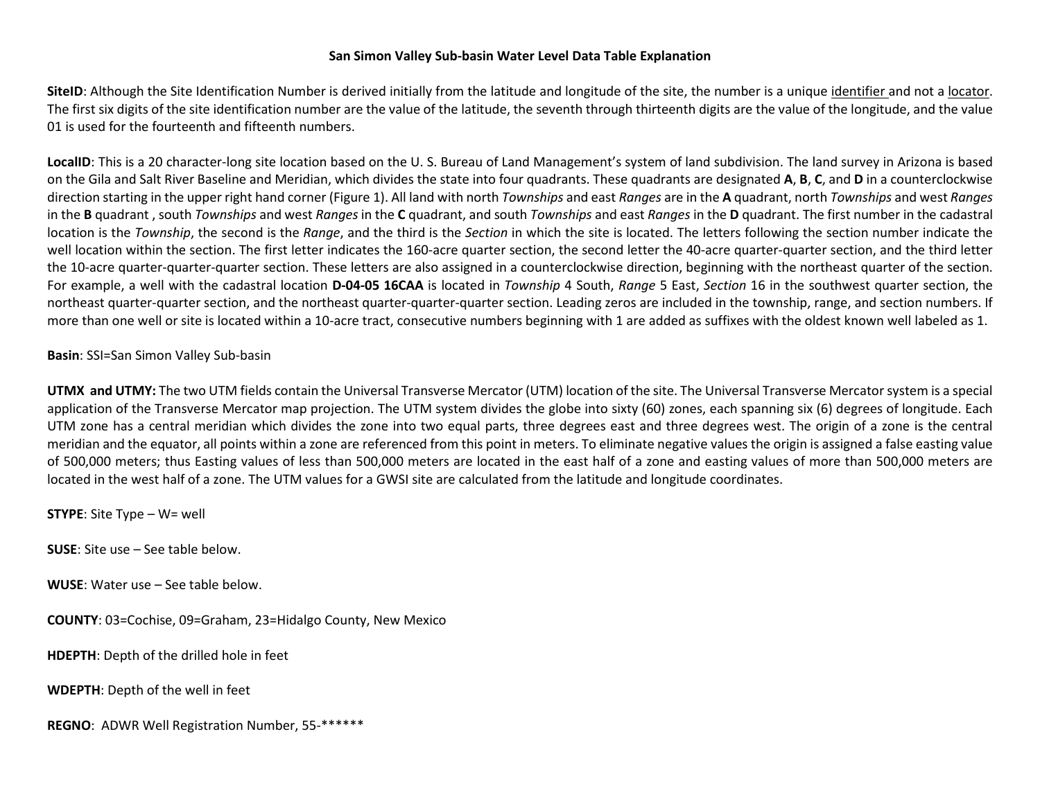## **San Simon Valley Sub-basin Water Level Data Table Explanation**

SiteID: Although the Site Identification Number is derived initially from the latitude and longitude of the site, the number is a unique identifier and not a locator. The first six digits of the site identification number are the value of the latitude, the seventh through thirteenth digits are the value of the longitude, and the value 01 is used for the fourteenth and fifteenth numbers.

LocalID: This is a 20 character-long site location based on the U.S. Bureau of Land Management's system of land subdivision. The land survey in Arizona is based on the Gila and Salt River Baseline and Meridian, which divides the state into four quadrants. These quadrants are designated **A**, **B**, **C**, and **D** in a counterclockwise direction starting in the upper right hand corner (Figure 1). All land with north *Townships* and east *Ranges* are in the **A** quadrant, north *Townships* and west *Ranges*  in the **B** quadrant , south *Townships* and west *Ranges* in the **C** quadrant, and south *Townships* and east *Ranges* in the **D** quadrant. The first number in the cadastral location is the *Township*, the second is the *Range*, and the third is the *Section* in which the site is located. The letters following the section number indicate the well location within the section. The first letter indicates the 160-acre quarter section, the second letter the 40-acre quarter-quarter section, and the third letter the 10-acre quarter-quarter-quarter section. These letters are also assigned in a counterclockwise direction, beginning with the northeast quarter of the section. For example, a well with the cadastral location **D-04-05 16CAA** is located in *Township* 4 South, *Range* 5 East, *Section* 16 in the southwest quarter section, the northeast quarter-quarter section, and the northeast quarter-quarter-quarter section. Leading zeros are included in the township, range, and section numbers. If more than one well or site is located within a 10-acre tract, consecutive numbers beginning with 1 are added as suffixes with the oldest known well labeled as 1.

**Basin**: SSI=San Simon Valley Sub-basin

**UTMX and UTMY:** The two UTM fields contain the Universal Transverse Mercator (UTM) location of the site. The Universal Transverse Mercator system is a special application of the Transverse Mercator map projection. The UTM system divides the globe into sixty (60) zones, each spanning six (6) degrees of longitude. Each UTM zone has a central meridian which divides the zone into two equal parts, three degrees east and three degrees west. The origin of a zone is the central meridian and the equator, all points within a zone are referenced from this point in meters. To eliminate negative values the origin is assigned a false easting value of 500,000 meters; thus Easting values of less than 500,000 meters are located in the east half of a zone and easting values of more than 500,000 meters are located in the west half of a zone. The UTM values for a GWSI site are calculated from the latitude and longitude coordinates.

**STYPE**: Site Type – W= well

**SUSE**: Site use – See table below.

**WUSE**: Water use – See table below.

**COUNTY**: 03=Cochise, 09=Graham, 23=Hidalgo County, New Mexico

**HDEPTH**: Depth of the drilled hole in feet

**WDEPTH**: Depth of the well in feet

**REGNO**: ADWR Well Registration Number, 55-\*\*\*\*\*\*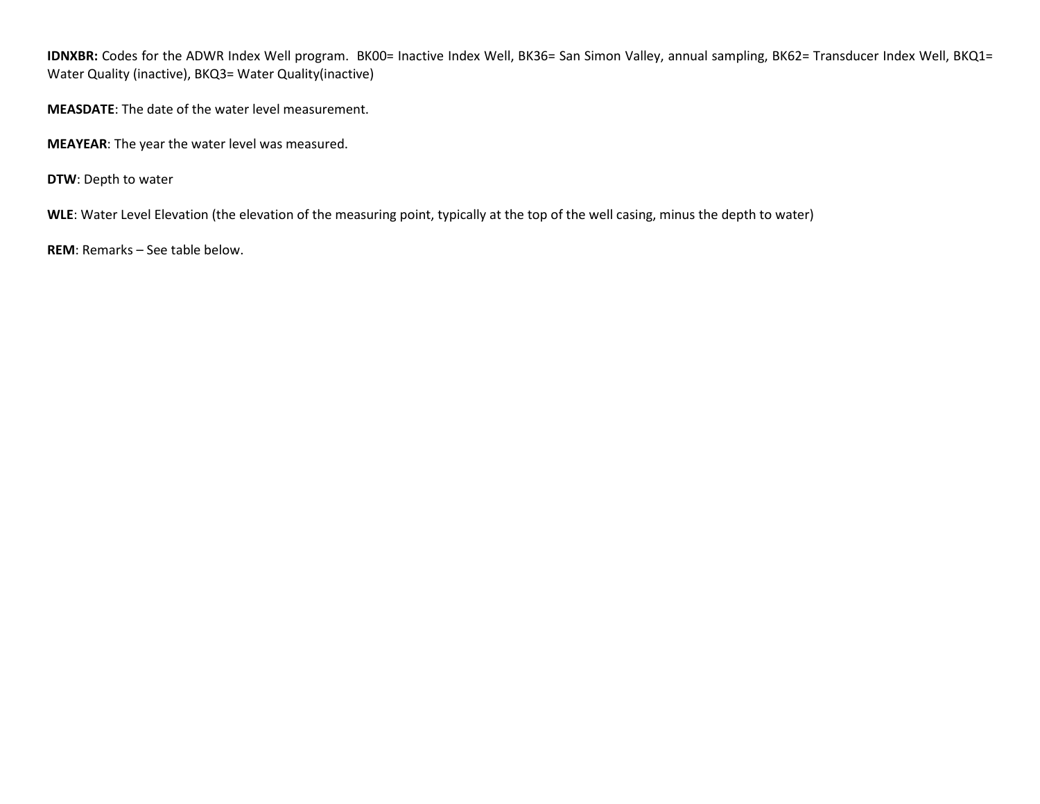IDNXBR: Codes for the ADWR Index Well program. BK00= Inactive Index Well, BK36= San Simon Valley, annual sampling, BK62= Transducer Index Well, BKQ1= Water Quality (inactive), BKQ3= Water Quality(inactive)

**MEASDATE**: The date of the water level measurement.

**MEAYEAR**: The year the water level was measured.

**DTW**: Depth to water

**WLE**: Water Level Elevation (the elevation of the measuring point, typically at the top of the well casing, minus the depth to water)

**REM**: Remarks – See table below.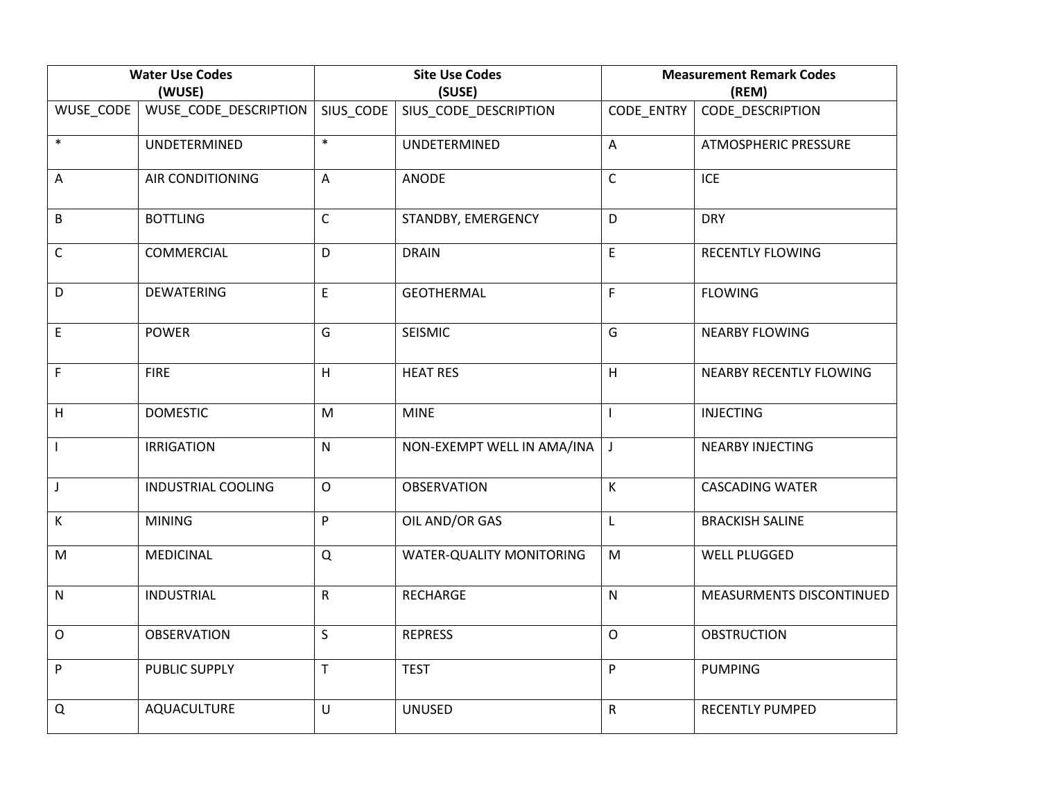| <b>Water Use Codes</b><br>(WUSE) |                           | <b>Site Use Codes</b><br>(SUSE) |                            | <b>Measurement Remark Codes</b><br>(REM) |                             |
|----------------------------------|---------------------------|---------------------------------|----------------------------|------------------------------------------|-----------------------------|
| WUSE_CODE                        | WUSE_CODE_DESCRIPTION     | SIUS_CODE                       | SIUS_CODE_DESCRIPTION      | CODE_ENTRY                               | CODE_DESCRIPTION            |
| $\ast$                           | UNDETERMINED              | $\ast$                          | UNDETERMINED               | $\mathsf{A}$                             | <b>ATMOSPHERIC PRESSURE</b> |
| A                                | <b>AIR CONDITIONING</b>   | A                               | <b>ANODE</b>               | $\mathsf{C}$                             | <b>ICE</b>                  |
| $\sf B$                          | <b>BOTTLING</b>           | $\mathsf C$                     | STANDBY, EMERGENCY         | D                                        | <b>DRY</b>                  |
| $\mathsf C$                      | COMMERCIAL                | D                               | <b>DRAIN</b>               | E                                        | <b>RECENTLY FLOWING</b>     |
| D                                | <b>DEWATERING</b>         | E                               | <b>GEOTHERMAL</b>          | F                                        | <b>FLOWING</b>              |
| $\mathsf E$                      | <b>POWER</b>              | G                               | SEISMIC                    | G                                        | <b>NEARBY FLOWING</b>       |
| $\mathsf F$                      | <b>FIRE</b>               | H                               | <b>HEAT RES</b>            | H                                        | NEARBY RECENTLY FLOWING     |
| H                                | <b>DOMESTIC</b>           | M                               | <b>MINE</b>                |                                          | <b>INJECTING</b>            |
| $\overline{\phantom{a}}$         | <b>IRRIGATION</b>         | $\mathsf{N}$                    | NON-EXEMPT WELL IN AMA/INA | $\perp$                                  | <b>NEARBY INJECTING</b>     |
| $\mathsf J$                      | <b>INDUSTRIAL COOLING</b> | $\mathsf{O}$                    | <b>OBSERVATION</b>         | $\mathsf K$                              | <b>CASCADING WATER</b>      |
| К                                | <b>MINING</b>             | ${\sf P}$                       | OIL AND/OR GAS             | Г                                        | <b>BRACKISH SALINE</b>      |
| M                                | <b>MEDICINAL</b>          | Q                               | WATER-QUALITY MONITORING   | M                                        | <b>WELL PLUGGED</b>         |
| ${\sf N}$                        | <b>INDUSTRIAL</b>         | $\mathsf{R}$                    | <b>RECHARGE</b>            | $\mathsf{N}$                             | MEASURMENTS DISCONTINUED    |
| $\mathsf O$                      | <b>OBSERVATION</b>        | $\sf S$                         | <b>REPRESS</b>             | $\mathsf{O}$                             | <b>OBSTRUCTION</b>          |
| ${\sf P}$                        | PUBLIC SUPPLY             | $\mathsf T$                     | <b>TEST</b>                | P                                        | <b>PUMPING</b>              |
| Q                                | AQUACULTURE               | U                               | <b>UNUSED</b>              | $\mathsf{R}$                             | <b>RECENTLY PUMPED</b>      |